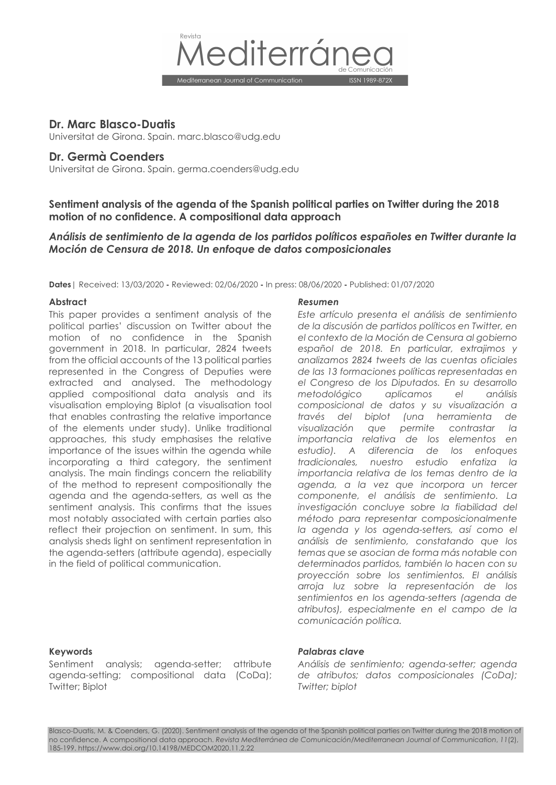

## **Dr. Marc Blasco-Duatis**

Universitat de Girona. Spain. marc.blasco@udg.edu

## **Dr. Germà Coenders**

Universitat de Girona. Spain. germa.coenders@udg.edu

**Sentiment analysis of the agenda of the Spanish political parties on Twitter during the 2018 motion of no confidence. A compositional data approach** 

# *Análisis de sentimiento de la agenda de los partidos políticos españoles en Twitter durante la Moción de Censura de 2018. Un enfoque de datos composicionales*

**Dates**| Received: 13/03/2020 **-** Reviewed: 02/06/2020 **-** In press: 08/06/2020 **-** Published: 01/07/2020

#### **Abstract** *Resumen*

This paper provides a sentiment analysis of the political parties' discussion on Twitter about the motion of no confidence in the Spanish government in 2018. In particular, 2824 tweets from the official accounts of the 13 political parties represented in the Congress of Deputies were extracted and analysed. The methodology applied compositional data analysis and its visualisation employing Biplot (a visualisation tool that enables contrasting the relative importance of the elements under study). Unlike traditional approaches, this study emphasises the relative importance of the issues within the agenda while incorporating a third category, the sentiment analysis. The main findings concern the reliability of the method to represent compositionally the agenda and the agenda-setters, as well as the sentiment analysis. This confirms that the issues most notably associated with certain parties also reflect their projection on sentiment. In sum, this analysis sheds light on sentiment representation in the agenda-setters (attribute agenda), especially in the field of political communication.

*Este artículo presenta el análisis de sentimiento de la discusión de partidos políticos en Twitter, en el contexto de la Moción de Censura al gobierno español de 2018. En particular, extrajimos y analizamos 2824 tweets de las cuentas oficiales de las 13 formaciones políticas representadas en el Congreso de los Diputados. En su desarrollo metodológico aplicamos el análisis composicional de datos y su visualización a través del biplot (una herramienta de visualización que permite contrastar la importancia relativa de los elementos en estudio). A diferencia de los enfoques tradicionales, nuestro estudio enfatiza la importancia relativa de los temas dentro de la agenda, a la vez que incorpora un tercer componente, el análisis de sentimiento. La investigación concluye sobre la fiabilidad del método para representar composicionalmente la agenda y los agenda-setters, así como el análisis de sentimiento, constatando que los temas que se asocian de forma más notable con determinados partidos, también lo hacen con su proyección sobre los sentimientos. El análisis arroja luz sobre la representación de los sentimientos en los agenda-setters (agenda de atributos), especialmente en el campo de la comunicación política.*

Sentiment analysis; agenda-setter; attribute agenda-setting; compositional data (CoDa); Twitter; Biplot

#### **Keywords** *Palabras clave*

*Análisis de sentimiento; agenda-setter; agenda de atributos; datos composicionales (CoDa); Twitter; biplot*

Blasco-Duatis, M. & Coenders, G. (2020). Sentiment analysis of the agenda of the Spanish political parties on Twitter during the 2018 motion of no confidence. A compositional data approach. *Revista Mediterránea de Comunicación/Mediterranean Journal of Communication*, *11*(2), 185-199. https://www.doi.org/10.14198/MEDCOM2020.11.2.22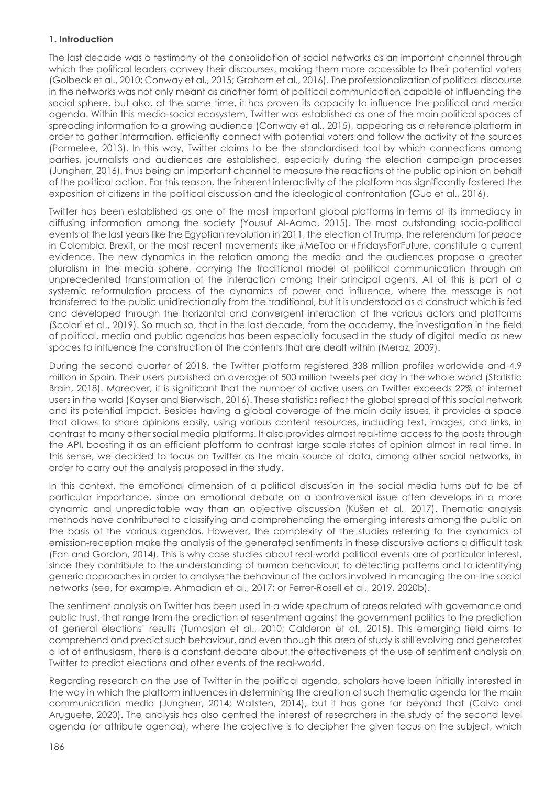## **1. Introduction**

The last decade was a testimony of the consolidation of social networks as an important channel through which the political leaders convey their discourses, making them more accessible to their potential voters (Golbeck et al., 2010; Conway et al., 2015; Graham et al., 2016). The professionalization of political discourse in the networks was not only meant as another form of political communication capable of influencing the social sphere, but also, at the same time, it has proven its capacity to influence the political and media agenda. Within this media-social ecosystem, Twitter was established as one of the main political spaces of spreading information to a growing audience (Conway et al., 2015), appearing as a reference platform in order to gather information, efficiently connect with potential voters and follow the activity of the sources (Parmelee, 2013). In this way, Twitter claims to be the standardised tool by which connections among parties, journalists and audiences are established, especially during the election campaign processes (Jungherr, 2016), thus being an important channel to measure the reactions of the public opinion on behalf of the political action. For this reason, the inherent interactivity of the platform has significantly fostered the exposition of citizens in the political discussion and the ideological confrontation (Guo et al., 2016).

Twitter has been established as one of the most important global platforms in terms of its immediacy in diffusing information among the society (Yousuf Al-Aama, 2015). The most outstanding socio-political events of the last years like the Egyptian revolution in 2011, the election of Trump, the referendum for peace in Colombia, Brexit, or the most recent movements like #MeToo or #FridaysForFuture, constitute a current evidence. The new dynamics in the relation among the media and the audiences propose a greater pluralism in the media sphere, carrying the traditional model of political communication through an unprecedented transformation of the interaction among their principal agents. All of this is part of a systemic reformulation process of the dynamics of power and influence, where the message is not transferred to the public unidirectionally from the traditional, but it is understood as a construct which is fed and developed through the horizontal and convergent interaction of the various actors and platforms (Scolari et al., 2019). So much so, that in the last decade, from the academy, the investigation in the field of political, media and public agendas has been especially focused in the study of digital media as new spaces to influence the construction of the contents that are dealt within (Meraz, 2009).

During the second quarter of 2018, the Twitter platform registered 338 million profiles worldwide and 4.9 million in Spain. Their users published an average of 500 million tweets per day in the whole world (Statistic Brain, 2018). Moreover, it is significant that the number of active users on Twitter exceeds 22% of internet users in the world (Kayser and Bierwisch, 2016). These statistics reflect the global spread of this social network and its potential impact. Besides having a global coverage of the main daily issues, it provides a space that allows to share opinions easily, using various content resources, including text, images, and links, in contrast to many other social media platforms. It also provides almost real-time access to the posts through the API, boosting it as an efficient platform to contrast large scale states of opinion almost in real time. In this sense, we decided to focus on Twitter as the main source of data, among other social networks, in order to carry out the analysis proposed in the study.

In this context, the emotional dimension of a political discussion in the social media turns out to be of particular importance, since an emotional debate on a controversial issue often develops in a more dynamic and unpredictable way than an objective discussion (Kušen et al., 2017). Thematic analysis methods have contributed to classifying and comprehending the emerging interests among the public on the basis of the various agendas. However, the complexity of the studies referring to the dynamics of emission-reception make the analysis of the generated sentiments in these discursive actions a difficult task (Fan and Gordon, 2014). This is why case studies about real-world political events are of particular interest, since they contribute to the understanding of human behaviour, to detecting patterns and to identifying generic approaches in order to analyse the behaviour of the actors involved in managing the on-line social networks (see, for example, Ahmadian et al., 2017; or Ferrer-Rosell et al., 2019, 2020b).

The sentiment analysis on Twitter has been used in a wide spectrum of areas related with governance and public trust, that range from the prediction of resentment against the government politics to the prediction of general elections' results (Tumasjan et al., 2010; Calderon et al., 2015). This emerging field aims to comprehend and predict such behaviour, and even though this area of study is still evolving and generates a lot of enthusiasm, there is a constant debate about the effectiveness of the use of sentiment analysis on Twitter to predict elections and other events of the real-world.

Regarding research on the use of Twitter in the political agenda, scholars have been initially interested in the way in which the platform influences in determining the creation of such thematic agenda for the main communication media (Jungherr, 2014; Wallsten, 2014), but it has gone far beyond that (Calvo and Aruguete, 2020). The analysis has also centred the interest of researchers in the study of the second level agenda (or attribute agenda), where the objective is to decipher the given focus on the subject, which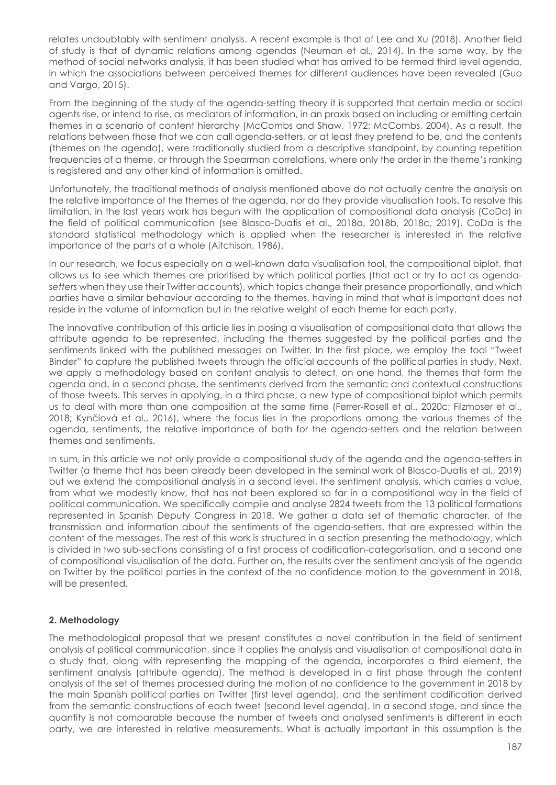relates undoubtably with sentiment analysis. A recent example is that of Lee and Xu (2018). Another field of study is that of dynamic relations among agendas (Neuman et al., 2014). In the same way, by the method of social networks analysis, it has been studied what has arrived to be termed third level agenda, in which the associations between perceived themes for different audiences have been revealed (Guo and Vargo, 2015).

From the beginning of the study of the agenda-setting theory it is supported that certain media or social agents rise, or intend to rise, as mediators of information, in an praxis based on including or emitting certain themes in a scenario of content hierarchy (McCombs and Shaw, 1972; McCombs, 2004). As a result, the relations between those that we can call agenda-setters, or at least they pretend to be, and the contents (themes on the agenda), were traditionally studied from a descriptive standpoint, by counting repetition frequencies of a theme, or through the Spearman correlations, where only the order in the theme's ranking is registered and any other kind of information is omitted.

Unfortunately, the traditional methods of analysis mentioned above do not actually centre the analysis on the relative importance of the themes of the agenda, nor do they provide visualisation tools. To resolve this limitation, in the last years work has begun with the application of compositional data analysis (CoDa) in the field of political communication (see Blasco-Duatis et al., 2018a, 2018b, 2018c, 2019). CoDa is the standard statistical methodology which is applied when the researcher is interested in the relative importance of the parts of a whole (Aitchison, 1986).

In our research, we focus especially on a well-known data visualisation tool, the compositional biplot, that allows us to see which themes are prioritised by which political parties (that act or try to act as agenda*setters* when they use their Twitter accounts), which topics change their presence proportionally, and which parties have a similar behaviour according to the themes, having in mind that what is important does not reside in the volume of information but in the relative weight of each theme for each party.

The innovative contribution of this article lies in posing a visualisation of compositional data that allows the attribute agenda to be represented, including the themes suggested by the political parties and the sentiments linked with the published messages on Twitter. In the first place, we employ the tool "Tweet Binder" to capture the published tweets through the official accounts of the political parties in study. Next, we apply a methodology based on content analysis to detect, on one hand, the themes that form the agenda and, in a second phase, the sentiments derived from the semantic and contextual constructions of those tweets. This serves in applying, in a third phase, a new type of compositional biplot which permits us to deal with more than one composition at the same time (Ferrer-Rosell et al., 2020c; Filzmoser et al., 2018; Kynčlová et al., 2016), where the focus lies in the proportions among the various themes of the agenda, sentiments, the relative importance of both for the agenda-setters and the relation between themes and sentiments.

In sum, in this article we not only provide a compositional study of the agenda and the agenda-setters in Twitter (a theme that has been already been developed in the seminal work of Blasco-Duatis et al., 2019) but we extend the compositional analysis in a second level, the sentiment analysis, which carries a value, from what we modestly know, that has not been explored so far in a compositional way in the field of political communication. We specifically compile and analyse 2824 tweets from the 13 political formations represented in Spanish Deputy Congress in 2018. We gather a data set of thematic character, of the transmission and information about the sentiments of the agenda-setters, that are expressed within the content of the messages. The rest of this work is structured in a section presenting the methodology, which is divided in two sub-sections consisting of a first process of codification-categorisation, and a second one of compositional visualisation of the data. Further on, the results over the sentiment analysis of the agenda on Twitter by the political parties in the context of the no confidence motion to the government in 2018, will be presented.

## **2. Methodology**

The methodological proposal that we present constitutes a novel contribution in the field of sentiment analysis of political communication, since it applies the analysis and visualisation of compositional data in a study that, along with representing the mapping of the agenda, incorporates a third element, the sentiment analysis (attribute agenda). The method is developed in a first phase through the content analysis of the set of themes processed during the motion of no confidence to the government in 2018 by the main Spanish political parties on Twitter (first level agenda), and the sentiment codification derived from the semantic constructions of each tweet (second level agenda). In a second stage, and since the quantity is not comparable because the number of tweets and analysed sentiments is different in each party, we are interested in relative measurements. What is actually important in this assumption is the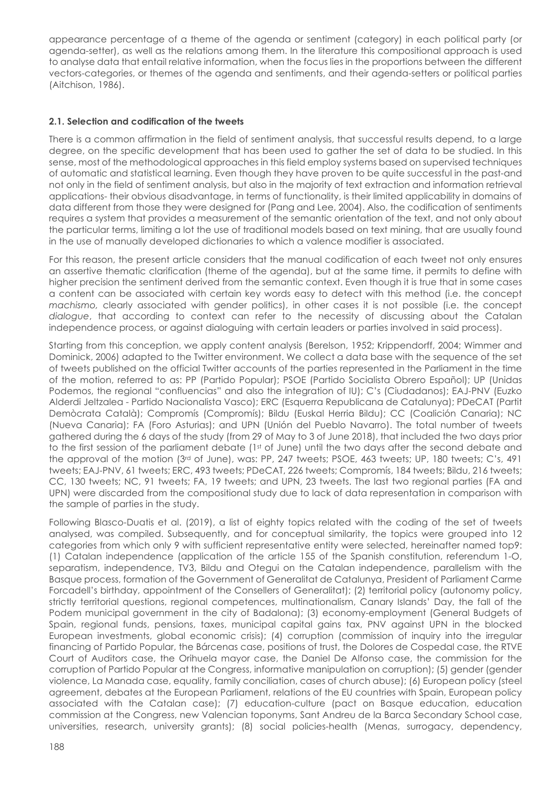appearance percentage of a theme of the agenda or sentiment (category) in each political party (or agenda-setter), as well as the relations among them. In the literature this compositional approach is used to analyse data that entail relative information, when the focus lies in the proportions between the different vectors-categories, or themes of the agenda and sentiments, and their agenda-setters or political parties (Aitchison, 1986).

## **2.1. Selection and codification of the tweets**

There is a common affirmation in the field of sentiment analysis, that successful results depend, to a large degree, on the specific development that has been used to gather the set of data to be studied. In this sense, most of the methodological approaches in this field employ systems based on supervised techniques of automatic and statistical learning. Even though they have proven to be quite successful in the past-and not only in the field of sentiment analysis, but also in the majority of text extraction and information retrieval applications- their obvious disadvantage, in terms of functionality, is their limited applicability in domains of data different from those they were designed for (Pang and Lee, 2004). Also, the codification of sentiments requires a system that provides a measurement of the semantic orientation of the text, and not only about the particular terms, limiting a lot the use of traditional models based on text mining, that are usually found in the use of manually developed dictionaries to which a valence modifier is associated.

For this reason, the present article considers that the manual codification of each tweet not only ensures an assertive thematic clarification (theme of the agenda), but at the same time, it permits to define with higher precision the sentiment derived from the semantic context. Even though it is true that in some cases a content can be associated with certain key words easy to detect with this method (i.e. the concept *machismo,* clearly associated with gender politics), in other cases it is not possible (i.e. the concept *dialogue*, that according to context can refer to the necessity of discussing about the Catalan independence process, or against dialoguing with certain leaders or parties involved in said process).

Starting from this conception, we apply content analysis (Berelson, 1952; Krippendorff, 2004; Wimmer and Dominick, 2006) adapted to the Twitter environment. We collect a data base with the sequence of the set of tweets published on the official Twitter accounts of the parties represented in the Parliament in the time of the motion, referred to as: PP (Partido Popular); PSOE (Partido Socialista Obrero Español); UP (Unidas Podemos, the regional "confluencias" and also the integration of IU); C's (Ciudadanos); EAJ-PNV (Euzko Alderdi Jeltzalea - Partido Nacionalista Vasco); ERC (Esquerra Republicana de Catalunya); PDeCAT (Partit Demòcrata Català); Compromís (Compromís); Bildu (Euskal Herria Bildu); CC (Coalición Canaria); NC (Nueva Canaria); FA (Foro Asturias); and UPN (Unión del Pueblo Navarro). The total number of tweets gathered during the 6 days of the study (from 29 of May to 3 of June 2018), that included the two days prior to the first session of the parliament debate (1st of June) until the two days after the second debate and the approval of the motion (3rd of June), was: PP, 247 tweets; PSOE, 463 tweets; UP, 180 tweets; C's, 491 tweets; EAJ-PNV, 61 tweets; ERC, 493 tweets; PDeCAT, 226 tweets; Compromís, 184 tweets; Bildu, 216 tweets; CC, 130 tweets; NC, 91 tweets; FA, 19 tweets; and UPN, 23 tweets. The last two regional parties (FA and UPN) were discarded from the compositional study due to lack of data representation in comparison with the sample of parties in the study.

Following Blasco-Duatis et al. (2019), a list of eighty topics related with the coding of the set of tweets analysed, was compiled. Subsequently, and for conceptual similarity, the topics were grouped into 12 categories from which only 9 with sufficient representative entity were selected, hereinafter named top9: (1) Catalan independence (application of the article 155 of the Spanish constitution, referendum 1-O, separatism, independence, TV3, Bildu and Otegui on the Catalan independence, parallelism with the Basque process, formation of the Government of Generalitat de Catalunya, President of Parliament Carme Forcadell's birthday, appointment of the Consellers of Generalitat); (2) territorial policy (autonomy policy, strictly territorial questions, regional competences, multinationalism, Canary Islands' Day, the fall of the Podem municipal government in the city of Badalona); (3) economy-employment (General Budgets of Spain, regional funds, pensions, taxes, municipal capital gains tax, PNV against UPN in the blocked European investments, global economic crisis); (4) corruption (commission of inquiry into the irregular financing of Partido Popular, the Bárcenas case, positions of trust, the Dolores de Cospedal case, the RTVE Court of Auditors case, the Orihuela mayor case, the Daniel De Alfonso case, the commission for the corruption of Partido Popular at the Congress, informative manipulation on corruption); (5) gender (gender violence, La Manada case, equality, family conciliation, cases of church abuse); (6) European policy (steel agreement, debates at the European Parliament, relations of the EU countries with Spain, European policy associated with the Catalan case); (7) education-culture (pact on Basque education, education commission at the Congress, new Valencian toponyms, Sant Andreu de la Barca Secondary School case, universities, research, university grants); (8) social policies-health (Menas, surrogacy, dependency,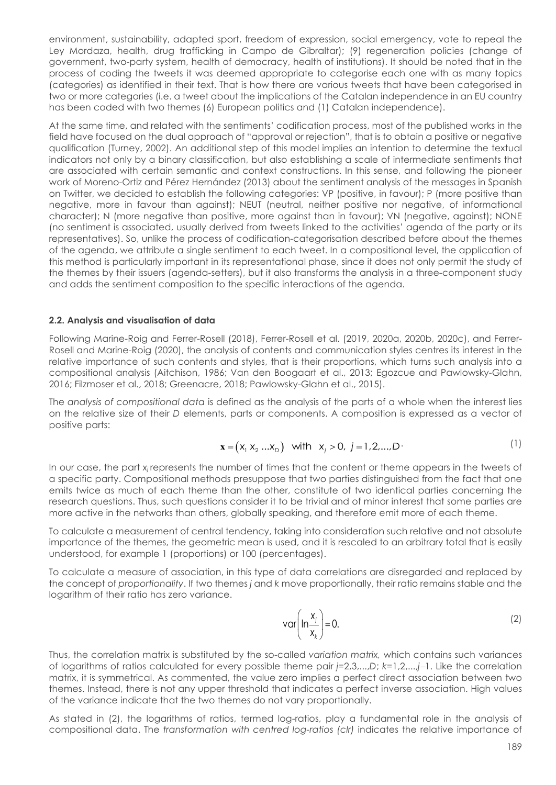environment, sustainability, adapted sport, freedom of expression, social emergency, vote to repeal the Ley Mordaza, health, drug trafficking in Campo de Gibraltar); (9) regeneration policies (change of government, two-party system, health of democracy, health of institutions). It should be noted that in the process of coding the tweets it was deemed appropriate to categorise each one with as many topics (categories) as identified in their text. That is how there are various tweets that have been categorised in two or more categories (i.e. a tweet about the implications of the Catalan independence in an EU country has been coded with two themes (6) European politics and (1) Catalan independence).

At the same time, and related with the sentiments' codification process, most of the published works in the field have focused on the dual approach of "approval or rejection", that is to obtain a positive or negative qualification (Turney, 2002). An additional step of this model implies an intention to determine the textual indicators not only by a binary classification, but also establishing a scale of intermediate sentiments that are associated with certain semantic and context constructions. In this sense, and following the pioneer work of Moreno-Ortiz and Pérez Hernández (2013) about the sentiment analysis of the messages in Spanish on Twitter, we decided to establish the following categories: VP (positive, in favour); P (more positive than negative, more in favour than against); NEUT (neutral, neither positive nor negative, of informational character); N (more negative than positive, more against than in favour); VN (negative, against); NONE (no sentiment is associated, usually derived from tweets linked to the activities' agenda of the party or its representatives). So, unlike the process of codification-categorisation described before about the themes of the agenda, we attribute a single sentiment to each tweet. In a compositional level, the application of this method is particularly important in its representational phase, since it does not only permit the study of the themes by their issuers (agenda-setters), but it also transforms the analysis in a three-component study and adds the sentiment composition to the specific interactions of the agenda.

#### **2.2. Analysis and visualisation of data**

Following Marine-Roig and Ferrer-Rosell (2018), Ferrer-Rosell et al. (2019, 2020a, 2020b, 2020c), and Ferrer-Rosell and Marine-Roig (2020), the analysis of contents and communication styles centres its interest in the relative importance of such contents and styles, that is their proportions, which turns such analysis into a compositional analysis (Aitchison, 1986; Van den Boogaart et al., 2013; Egozcue and Pawlowsky-Glahn, 2016; Filzmoser et al., 2018; Greenacre, 2018; Pawlowsky-Glahn et al., 2015).

The *analysis of compositional data* is defined as the analysis of the parts of a whole when the interest lies on the relative size of their *D* elements, parts or components. A composition is expressed as a vector of positive parts:

$$
\mathbf{x} = (x_1 \ x_2 \ ... \ x_D) \quad \text{with} \quad x_j > 0, \ j = 1, 2, \dots, D \tag{1}
$$

In our case, the part *xj* represents the number of times that the content or theme appears in the tweets of a specific party. Compositional methods presuppose that two parties distinguished from the fact that one emits twice as much of each theme than the other, constitute of two identical parties concerning the research questions. Thus, such questions consider it to be trivial and of minor interest that some parties are more active in the networks than others, globally speaking, and therefore emit more of each theme.

To calculate a measurement of central tendency, taking into consideration such relative and not absolute importance of the themes, the geometric mean is used, and it is rescaled to an arbitrary total that is easily understood, for example 1 (proportions) or 100 (percentages).

To calculate a measure of association, in this type of data correlations are disregarded and replaced by the concept of *proportionality*. If two themes *j* and *k* move proportionally, their ratio remains stable and the logarithm of their ratio has zero variance.

$$
var\left(ln\frac{x_j}{x_k}\right) = 0.
$$
 (2)

Thus, the correlation matrix is substituted by the so-called *variation matrix,* which contains such variances of logarithms of ratios calculated for every possible theme pair *j*=2,3,...,*D*; *k*=1,2,...,*j*-1. Like the correlation matrix, it is symmetrical. As commented, the value zero implies a perfect direct association between two themes. Instead, there is not any upper threshold that indicates a perfect inverse association. High values of the variance indicate that the two themes do not vary proportionally.

As stated in (2), the logarithms of ratios, termed log-ratios, play a fundamental role in the analysis of compositional data. The *transformation with centred log-ratios (clr)* indicates the relative importance of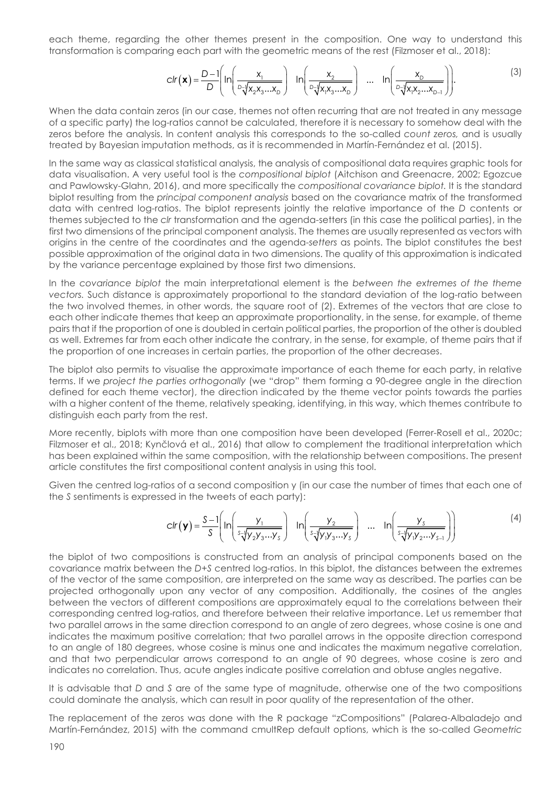each theme, regarding the other themes present in the composition. One way to understand this transformation is comparing each part with the geometric means of the rest (Filzmoser et al., 2018):

$$
clr(\mathbf{x}) = \frac{D-1}{D} \left( ln \left( \frac{x_1}{\frac{D\sqrt{X_2 X_3 ... X_D}}{D}} \right) - ln \left( \frac{x_2}{\frac{D\sqrt{X_1 X_3 ... X_D}}{D}} \right) - ln \left( \frac{x_0}{\frac{D\sqrt{X_1 X_2 ... X_D}}{D}} \right) \right).
$$
(3)

When the data contain zeros (in our case, themes not often recurring that are not treated in any message of a specific party) the log-ratios cannot be calculated, therefore it is necessary to somehow deal with the zeros before the analysis. In content analysis this corresponds to the so-called *count zeros,* and is usually treated by Bayesian imputation methods, as it is recommended in Martín-Fernández et al. (2015).

In the same way as classical statistical analysis, the analysis of compositional data requires graphic tools for data visualisation. A very useful tool is the *compositional biplot* (Aitchison and Greenacre, 2002; Egozcue and Pawlowsky-Glahn, 2016), and more specifically the *compositional covariance biplot.* It is the standard biplot resulting from the *principal component analysis* based on the covariance matrix of the transformed data with centred log-ratios. The biplot represents jointly the relative importance of the *D* contents or themes subjected to the *clr* transformation and the agenda-setters (in this case the political parties), in the first two dimensions of the principal component analysis. The themes are usually represented as vectors with origins in the centre of the coordinates and the agenda-*setters* as points. The biplot constitutes the best possible approximation of the original data in two dimensions. The quality of this approximation is indicated by the variance percentage explained by those first two dimensions.

In the *covariance biplot* the main interpretational element is the *between the extremes of the theme vectors.* Such distance is approximately proportional to the standard deviation of the log-ratio between the two involved themes, in other words, the square root of (2). Extremes of the vectors that are close to each other indicate themes that keep an approximate proportionality, in the sense, for example, of theme pairs that if the proportion of one is doubled in certain political parties, the proportion of the other is doubled as well. Extremes far from each other indicate the contrary, in the sense, for example, of theme pairs that if the proportion of one increases in certain parties, the proportion of the other decreases.

The biplot also permits to visualise the approximate importance of each theme for each party, in relative terms. If we *project the parties orthogonally* (we "drop" them forming a 90-degree angle in the direction defined for each theme vector), the direction indicated by the theme vector points towards the parties with a higher content of the theme, relatively speaking, identifying, in this way, which themes contribute to distinguish each party from the rest.

More recently, biplots with more than one composition have been developed (Ferrer-Rosell et al., 2020c; Filzmoser et al., 2018; Kynčlová et al., 2016) that allow to complement the traditional interpretation which has been explained within the same composition, with the relationship between compositions. The present article constitutes the first compositional content analysis in using this tool.

Given the centred log-ratios of a second composition y (in our case the number of times that each one of the *S* sentiments is expressed in the tweets of each party):

$$
clr(\mathbf{y}) = \frac{S-1}{S} \left( ln \left( \frac{y_1}{s\sqrt[4]{y_2y_3...y_s}} \right) ln \left( \frac{y_2}{s\sqrt[4]{y_1y_3...y_s}} \right) ... ln \left( \frac{y_s}{s\sqrt[4]{y_1y_2...y_{s-1}}} \right) \right)
$$
(4)

the biplot of two compositions is constructed from an analysis of principal components based on the covariance matrix between the *D*+*S* centred log-ratios. In this biplot, the distances between the extremes of the vector of the same composition, are interpreted on the same way as described. The parties can be projected orthogonally upon any vector of any composition. Additionally, the cosines of the angles between the vectors of different compositions are approximately equal to the correlations between their corresponding centred log-ratios, and therefore between their relative importance. Let us remember that two parallel arrows in the same direction correspond to an angle of zero degrees, whose cosine is one and indicates the maximum positive correlation; that two parallel arrows in the opposite direction correspond to an angle of 180 degrees, whose cosine is minus one and indicates the maximum negative correlation, and that two perpendicular arrows correspond to an angle of 90 degrees, whose cosine is zero and indicates no correlation. Thus, acute angles indicate positive correlation and obtuse angles negative.

It is advisable that *D* and *S* are of the same type of magnitude, otherwise one of the two compositions could dominate the analysis, which can result in poor quality of the representation of the other.

The replacement of the zeros was done with the R package "zCompositions" (Palarea-Albaladejo and Martín-Fernández, 2015) with the command cmultRep default options, which is the so-called *Geometric*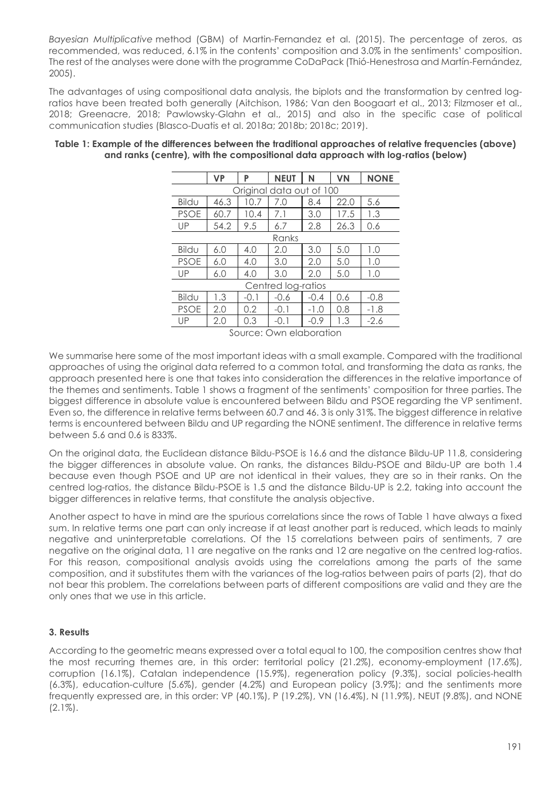*Bayesian Multiplicative* method (GBM) of Martin-Fernandez et al. (2015). The percentage of zeros, as recommended, was reduced, 6.1% in the contents' composition and 3.0% in the sentiments' composition. The rest of the analyses were done with the programme CoDaPack (Thió-Henestrosa and Martín-Fernández, 2005).

The advantages of using compositional data analysis, the biplots and the transformation by centred logratios have been treated both generally (Aitchison, 1986; Van den Boogaart et al., 2013; Filzmoser et al., 2018; Greenacre, 2018; Pawlowsky-Glahn et al., 2015) and also in the specific case of political communication studies (Blasco-Duatis et al. 2018a; 2018b; 2018c; 2019).

|                          | <b>VP</b> | P      | <b>NEUT</b> | N      | VN   | <b>NONE</b> |
|--------------------------|-----------|--------|-------------|--------|------|-------------|
| Original data out of 100 |           |        |             |        |      |             |
| Bildu                    | 46.3      | 10.7   | 7.0         | 8.4    | 22.0 | 5.6         |
| <b>PSOE</b>              | 60.7      | 10.4   | 7.1         | 3.0    | 17.5 | 1.3         |
| UP                       | 54.2      | 9.5    | 6.7         | 2.8    | 26.3 | 0.6         |
| Ranks                    |           |        |             |        |      |             |
| Bildu                    | 6.0       | 4.0    | 2.0         | 3.0    | 5.0  | 1.0         |
| <b>PSOE</b>              | 6.0       | 4.0    | 3.0         | 2.0    | 5.0  | 1.0         |
| UP                       | 6.0       | 4.0    | 3.0         | 2.0    | 5.0  | 1.0         |
| Centred log-ratios       |           |        |             |        |      |             |
| Bildu                    | 1.3       | $-0.1$ | $-0.6$      | $-0.4$ | 0.6  | $-0.8$      |
| <b>PSOE</b>              | 2.0       | 0.2    | $-0.1$      | $-1.0$ | 0.8  | $-1.8$      |
| UP                       | 2.0       | 0.3    | -0.1        | $-0.9$ | 1.3  | $-2.6$      |

#### **Table 1: Example of the differences between the traditional approaches of relative frequencies (above) and ranks (centre), with the compositional data approach with log-ratios (below)**

Source: Own elaboration

We summarise here some of the most important ideas with a small example. Compared with the traditional approaches of using the original data referred to a common total, and transforming the data as ranks, the approach presented here is one that takes into consideration the differences in the relative importance of the themes and sentiments. Table 1 shows a fragment of the sentiments' composition for three parties. The biggest difference in absolute value is encountered between Bildu and PSOE regarding the VP sentiment. Even so, the difference in relative terms between 60.7 and 46. 3 is only 31%. The biggest difference in relative terms is encountered between Bildu and UP regarding the NONE sentiment. The difference in relative terms between 5.6 and 0.6 is 833%.

On the original data, the Euclidean distance Bildu-PSOE is 16.6 and the distance Bildu-UP 11.8, considering the bigger differences in absolute value. On ranks, the distances Bildu-PSOE and Bildu-UP are both 1.4 because even though PSOE and UP are not identical in their values, they are so in their ranks. On the centred log-ratios, the distance Bildu-PSOE is 1.5 and the distance Bildu-UP is 2.2, taking into account the bigger differences in relative terms, that constitute the analysis objective.

Another aspect to have in mind are the spurious correlations since the rows of Table 1 have always a fixed sum. In relative terms one part can only increase if at least another part is reduced, which leads to mainly negative and uninterpretable correlations. Of the 15 correlations between pairs of sentiments, 7 are negative on the original data, 11 are negative on the ranks and 12 are negative on the centred log-ratios. For this reason, compositional analysis avoids using the correlations among the parts of the same composition, and it substitutes them with the variances of the log-ratios between pairs of parts (2), that do not bear this problem. The correlations between parts of different compositions are valid and they are the only ones that we use in this article.

## **3. Results**

According to the geometric means expressed over a total equal to 100, the composition centres show that the most recurring themes are, in this order: territorial policy (21.2%), economy-employment (17.6%), corruption (16.1%), Catalan independence (15.9%), regeneration policy (9.3%), social policies-health (6.3%), education-culture (5.6%), gender (4.2%) and European policy (3.9%); and the sentiments more frequently expressed are, in this order: VP (40.1%), P (19.2%), VN (16.4%), N (11.9%), NEUT (9.8%), and NONE  $(2.1\%)$ .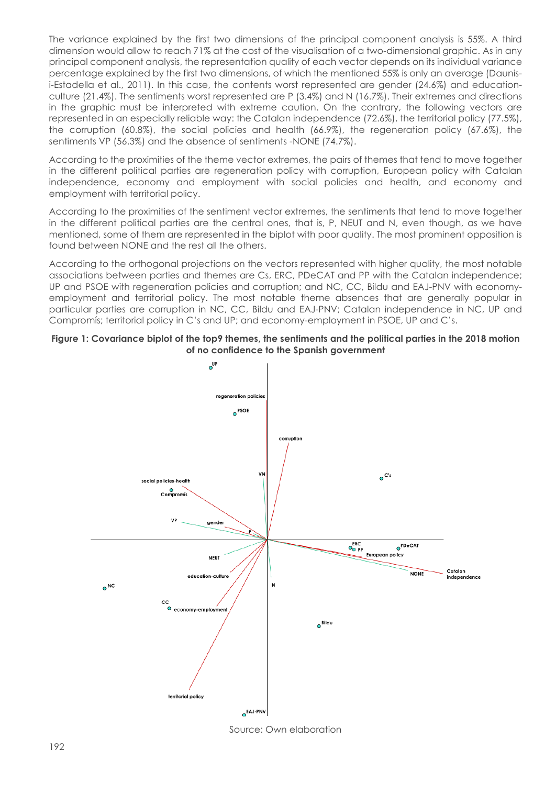The variance explained by the first two dimensions of the principal component analysis is 55%. A third dimension would allow to reach 71% at the cost of the visualisation of a two-dimensional graphic. As in any principal component analysis, the representation quality of each vector depends on its individual variance percentage explained by the first two dimensions, of which the mentioned 55% is only an average (Daunisi-Estadella et al., 2011). In this case, the contents worst represented are gender (24.6%) and educationculture (21.4%). The sentiments worst represented are P (3.4%) and N (16.7%). Their extremes and directions in the graphic must be interpreted with extreme caution. On the contrary, the following vectors are represented in an especially reliable way: the Catalan independence (72.6%), the territorial policy (77.5%), the corruption (60.8%), the social policies and health (66.9%), the regeneration policy (67.6%), the sentiments VP (56.3%) and the absence of sentiments -NONE (74.7%).

According to the proximities of the theme vector extremes, the pairs of themes that tend to move together in the different political parties are regeneration policy with corruption, European policy with Catalan independence, economy and employment with social policies and health, and economy and employment with territorial policy.

According to the proximities of the sentiment vector extremes, the sentiments that tend to move together in the different political parties are the central ones, that is, P, NEUT and N, even though, as we have mentioned, some of them are represented in the biplot with poor quality. The most prominent opposition is found between NONE and the rest all the others.

According to the orthogonal projections on the vectors represented with higher quality, the most notable associations between parties and themes are Cs, ERC, PDeCAT and PP with the Catalan independence; UP and PSOE with regeneration policies and corruption; and NC, CC, Bildu and EAJ-PNV with economyemployment and territorial policy. The most notable theme absences that are generally popular in particular parties are corruption in NC, CC, Bildu and EAJ-PNV; Catalan independence in NC, UP and Compromís; territorial policy in C's and UP; and economy-employment in PSOE, UP and C's.





Source: Own elaboration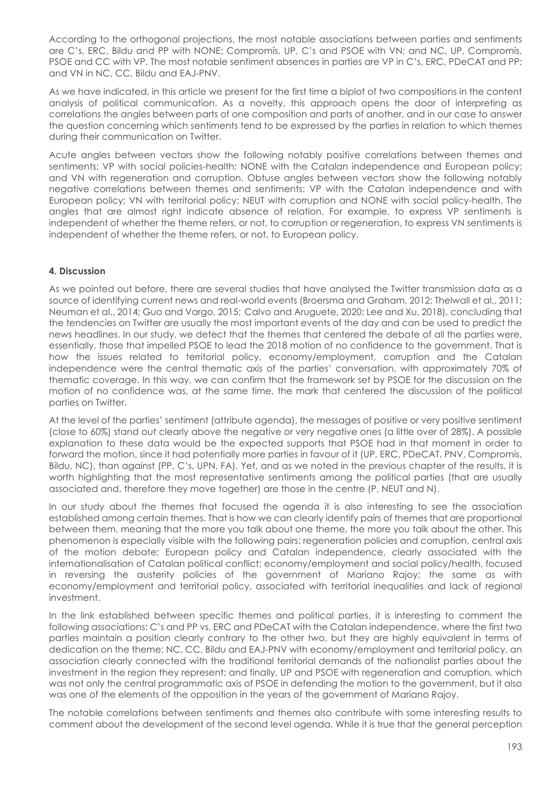According to the orthogonal projections, the most notable associations between parties and sentiments are C's, ERC, Bildu and PP with NONE; Compromís, UP, C's and PSOE with VN; and NC, UP, Compromís, PSOE and CC with VP. The most notable sentiment absences in parties are VP in C's, ERC, PDeCAT and PP; and VN in NC, CC, Bildu and EAJ-PNV.

As we have indicated, in this article we present for the first time a biplot of two compositions in the content analysis of political communication. As a novelty, this approach opens the door of interpreting as correlations the angles between parts of one composition and parts of another, and in our case to answer the question concerning which sentiments tend to be expressed by the parties in relation to which themes during their communication on Twitter.

Acute angles between vectors show the following notably positive correlations between themes and sentiments: VP with social policies-health; NONE with the Catalan independence and European policy; and VN with regeneration and corruption. Obtuse angles between vectors show the following notably negative correlations between themes and sentiments: VP with the Catalan independence and with European policy; VN with territorial policy; NEUT with corruption and NONE with social policy-health. The angles that are almost right indicate absence of relation. For example, to express VP sentiments is independent of whether the theme refers, or not, to corruption or regeneration, to express VN sentiments is independent of whether the theme refers, or not, to European policy.

## **4. Discussion**

As we pointed out before, there are several studies that have analysed the Twitter transmission data as a source of identifying current news and real-world events (Broersma and Graham, 2012; Thelwall et al., 2011; Neuman et al., 2014; Guo and Vargo, 2015; Calvo and Aruguete, 2020; Lee and Xu, 2018), concluding that the tendencies on Twitter are usually the most important events of the day and can be used to predict the news headlines. In our study, we detect that the themes that centered the debate of all the parties were, essentially, those that impelled PSOE to lead the 2018 motion of no confidence to the government. That is how the issues related to territorial policy, economy/employment, corruption and the Catalan independence were the central thematic axis of the parties' conversation, with approximately 70% of thematic coverage. In this way, we can confirm that the framework set by PSOE for the discussion on the motion of no confidence was, at the same time, the mark that centered the discussion of the political parties on Twitter.

At the level of the parties' sentiment (attribute agenda), the messages of positive or very positive sentiment (close to 60%) stand out clearly above the negative or very negative ones (a little over of 28%). A possible explanation to these data would be the expected supports that PSOE had in that moment in order to forward the motion, since it had potentially more parties in favour of it (UP, ERC, PDeCAT, PNV, Compromís, Bildu, NC), than against (PP, C's, UPN, FA). Yet, and as we noted in the previous chapter of the results, it is worth highlighting that the most representative sentiments among the political parties (that are usually associated and, therefore they move together) are those in the centre (P, NEUT and N).

In our study about the themes that focused the agenda it is also interesting to see the association established among certain themes. That is how we can clearly identify pairs of themes that are proportional between them, meaning that the more you talk about one theme, the more you talk about the other. This phenomenon is especially visible with the following pairs: regeneration policies and corruption, central axis of the motion debate; European policy and Catalan independence, clearly associated with the internationalisation of Catalan political conflict; economy/employment and social policy/health, focused in reversing the austerity policies of the government of Mariano Rajoy; the same as with economy/employment and territorial policy, associated with territorial inequalities and lack of regional investment.

In the link established between specific themes and political parties, it is interesting to comment the following associations: C's and PP vs. ERC and PDeCAT with the Catalan independence, where the first two parties maintain a position clearly contrary to the other two, but they are highly equivalent in terms of dedication on the theme; NC, CC, Bildu and EAJ-PNV with economy/employment and territorial policy, an association clearly connected with the traditional territorial demands of the nationalist parties about the investment in the region they represent; and finally, UP and PSOE with regeneration and corruption, which was not only the central programmatic axis of PSOE in defending the motion to the government, but it also was one of the elements of the opposition in the years of the government of Mariano Rajoy.

The notable correlations between sentiments and themes also contribute with some interesting results to comment about the development of the second level agenda. While it is true that the general perception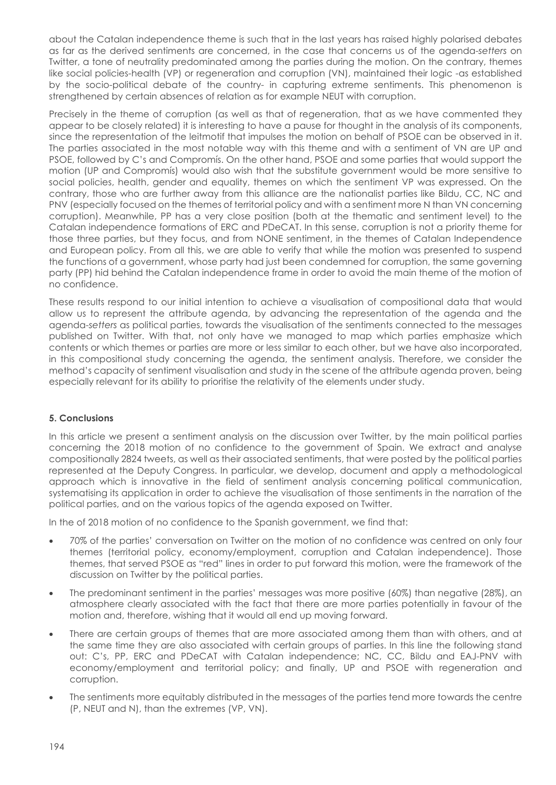about the Catalan independence theme is such that in the last years has raised highly polarised debates as far as the derived sentiments are concerned, in the case that concerns us of the agenda-*setters* on Twitter, a tone of neutrality predominated among the parties during the motion. On the contrary, themes like social policies-health (VP) or regeneration and corruption (VN), maintained their logic -as established by the socio-political debate of the country- in capturing extreme sentiments. This phenomenon is strengthened by certain absences of relation as for example NEUT with corruption.

Precisely in the theme of corruption (as well as that of regeneration, that as we have commented they appear to be closely related) it is interesting to have a pause for thought in the analysis of its components, since the representation of the leitmotif that impulses the motion on behalf of PSOE can be observed in it. The parties associated in the most notable way with this theme and with a sentiment of VN are UP and PSOE, followed by C's and Compromís. On the other hand, PSOE and some parties that would support the motion (UP and Compromís) would also wish that the substitute government would be more sensitive to social policies, health, gender and equality, themes on which the sentiment VP was expressed. On the contrary, those who are further away from this alliance are the nationalist parties like Bildu, CC, NC and PNV (especially focused on the themes of territorial policy and with a sentiment more N than VN concerning corruption). Meanwhile, PP has a very close position (both at the thematic and sentiment level) to the Catalan independence formations of ERC and PDeCAT. In this sense, corruption is not a priority theme for those three parties, but they focus, and from NONE sentiment, in the themes of Catalan Independence and European policy. From all this, we are able to verify that while the motion was presented to suspend the functions of a government, whose party had just been condemned for corruption, the same governing party (PP) hid behind the Catalan independence frame in order to avoid the main theme of the motion of no confidence.

These results respond to our initial intention to achieve a visualisation of compositional data that would allow us to represent the attribute agenda, by advancing the representation of the agenda and the agenda-*setters* as political parties, towards the visualisation of the sentiments connected to the messages published on Twitter. With that, not only have we managed to map which parties emphasize which contents or which themes or parties are more or less similar to each other, but we have also incorporated, in this compositional study concerning the agenda, the sentiment analysis. Therefore, we consider the method's capacity of sentiment visualisation and study in the scene of the attribute agenda proven, being especially relevant for its ability to prioritise the relativity of the elements under study.

## **5. Conclusions**

In this article we present a sentiment analysis on the discussion over Twitter, by the main political parties concerning the 2018 motion of no confidence to the government of Spain. We extract and analyse compositionally 2824 tweets, as well as their associated sentiments, that were posted by the political parties represented at the Deputy Congress. In particular, we develop, document and apply a methodological approach which is innovative in the field of sentiment analysis concerning political communication, systematising its application in order to achieve the visualisation of those sentiments in the narration of the political parties, and on the various topics of the agenda exposed on Twitter.

In the of 2018 motion of no confidence to the Spanish government, we find that:

- 70% of the parties' conversation on Twitter on the motion of no confidence was centred on only four themes (territorial policy, economy/employment, corruption and Catalan independence). Those themes, that served PSOE as "red" lines in order to put forward this motion, were the framework of the discussion on Twitter by the political parties.
- The predominant sentiment in the parties' messages was more positive (60%) than negative (28%), an atmosphere clearly associated with the fact that there are more parties potentially in favour of the motion and, therefore, wishing that it would all end up moving forward.
- There are certain groups of themes that are more associated among them than with others, and at the same time they are also associated with certain groups of parties. In this line the following stand out: C's, PP, ERC and PDeCAT with Catalan independence; NC, CC, Bildu and EAJ-PNV with economy/employment and territorial policy; and finally, UP and PSOE with regeneration and corruption.
- The sentiments more equitably distributed in the messages of the parties tend more towards the centre (P, NEUT and N), than the extremes (VP, VN).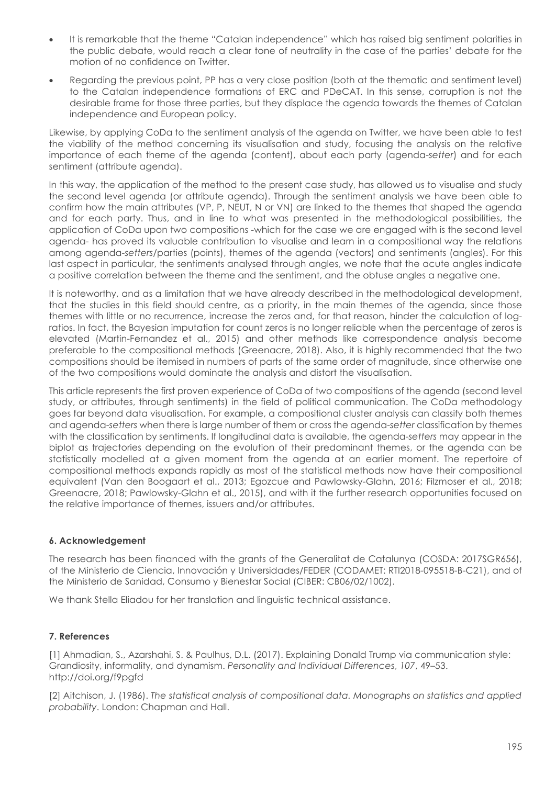- It is remarkable that the theme "Catalan independence" which has raised big sentiment polarities in the public debate, would reach a clear tone of neutrality in the case of the parties' debate for the motion of no confidence on Twitter.
- Regarding the previous point, PP has a very close position (both at the thematic and sentiment level) to the Catalan independence formations of ERC and PDeCAT. In this sense, corruption is not the desirable frame for those three parties, but they displace the agenda towards the themes of Catalan independence and European policy.

Likewise, by applying CoDa to the sentiment analysis of the agenda on Twitter, we have been able to test the viability of the method concerning its visualisation and study, focusing the analysis on the relative importance of each theme of the agenda (content), about each party (agenda-*setter*) and for each sentiment (attribute agenda).

In this way, the application of the method to the present case study, has allowed us to visualise and study the second level agenda (or attribute agenda). Through the sentiment analysis we have been able to confirm how the main attributes (VP, P, NEUT, N or VN) are linked to the themes that shaped the agenda and for each party. Thus, and in line to what was presented in the methodological possibilities, the application of CoDa upon two compositions -which for the case we are engaged with is the second level agenda- has proved its valuable contribution to visualise and learn in a compositional way the relations among agenda-*setters/*parties (points), themes of the agenda (vectors) and sentiments (angles). For this last aspect in particular, the sentiments analysed through angles, we note that the acute angles indicate a positive correlation between the theme and the sentiment, and the obtuse angles a negative one.

It is noteworthy, and as a limitation that we have already described in the methodological development, that the studies in this field should centre, as a priority, in the main themes of the agenda, since those themes with little or no recurrence, increase the zeros and, for that reason, hinder the calculation of logratios. In fact, the Bayesian imputation for count zeros is no longer reliable when the percentage of zeros is elevated (Martin-Fernandez et al., 2015) and other methods like correspondence analysis become preferable to the compositional methods (Greenacre, 2018). Also, it is highly recommended that the two compositions should be itemised in numbers of parts of the same order of magnitude, since otherwise one of the two compositions would dominate the analysis and distort the visualisation.

This article represents the first proven experience of CoDa of two compositions of the agenda (second level study, or attributes, through sentiments) in the field of political communication. The CoDa methodology goes far beyond data visualisation. For example, a compositional cluster analysis can classify both themes and agenda-*setters* when there is large number of them or cross the agenda-*setter* classification by themes with the classification by sentiments. If longitudinal data is available, the agenda-*setters* may appear in the biplot as trajectories depending on the evolution of their predominant themes, or the agenda can be statistically modelled at a given moment from the agenda at an earlier moment. The repertoire of compositional methods expands rapidly as most of the statistical methods now have their compositional equivalent (Van den Boogaart et al., 2013; Egozcue and Pawlowsky-Glahn, 2016; Filzmoser et al., 2018; Greenacre, 2018; Pawlowsky-Glahn et al., 2015), and with it the further research opportunities focused on the relative importance of themes, issuers and/or attributes.

#### **6. Acknowledgement**

The research has been financed with the grants of the Generalitat de Catalunya (COSDA: 2017SGR656), of the Ministerio de Ciencia, Innovación y Universidades/FEDER (CODAMET: RTI2018-095518-B-C21), and of the Ministerio de Sanidad, Consumo y Bienestar Social (CIBER: CB06/02/1002).

We thank Stella Eliadou for her translation and linguistic technical assistance.

#### **7. References**

[1] Ahmadian, S., Azarshahi, S. & Paulhus, D.L. (2017). Explaining Donald Trump via communication style: Grandiosity, informality, and dynamism. *Personality and Individual Differences*, *107*, 49–53. http://doi.org/f9pgfd

[2] Aitchison, J. (1986). *The statistical analysis of compositional data. Monographs on statistics and applied probability*. London: Chapman and Hall.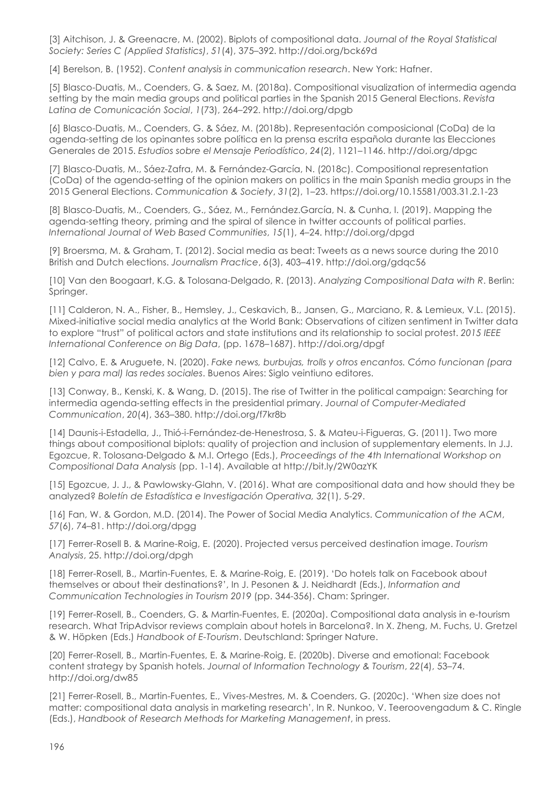[3] Aitchison, J. & Greenacre, M. (2002). Biplots of compositional data. *Journal of the Royal Statistical Society: Series C (Applied Statistics)*, *51*(4), 375–392. http://doi.org/bck69d

[4] Berelson, B. (1952). *Content analysis in communication research*. New York: Hafner.

[5] Blasco-Duatis, M., Coenders, G. & Saez, M. (2018a). Compositional visualization of intermedia agenda setting by the main media groups and political parties in the Spanish 2015 General Elections. *Revista Latina de Comunicación Social*, *1*(73), 264–292. http://doi.org/dpgb

[6] Blasco-Duatis, M., Coenders, G. & Sáez, M. (2018b). Representación composicional (CoDa) de la agenda-setting de los opinantes sobre política en la prensa escrita española durante las Elecciones Generales de 2015. *Estudios sobre el Mensaje Periodístico*, *24*(2), 1121–1146. http://doi.org/dpgc

[7] Blasco-Duatis, M., Sáez-Zafra, M. & Fernández-García, N. (2018c). Compositional representation (CoDa) of the agenda-setting of the opinion makers on politics in the main Spanish media groups in the 2015 General Elections. *Communication & Society*, *31*(2), 1–23. https://doi.org/10.15581/003.31.2.1-23

[8] Blasco-Duatis, M., Coenders, G., Sáez, M., Fernández.García, N. & Cunha, I. (2019). Mapping the agenda-setting theory, priming and the spiral of silence in twitter accounts of political parties. *International Journal of Web Based Communities*, *15*(1), 4–24. http://doi.org/dpgd

[9] Broersma, M. & Graham, T. (2012). Social media as beat: Tweets as a news source during the 2010 British and Dutch elections. *Journalism Practice*, *6*(3), 403–419. http://doi.org/gdqc56

[10] Van den Boogaart, K.G. & Tolosana-Delgado, R. (2013). *Analyzing Compositional Data with R*. Berlin: Springer.

[11] Calderon, N. A., Fisher, B., Hemsley, J., Ceskavich, B., Jansen, G., Marciano, R. & Lemieux, V.L. (2015). Mixed-initiative social media analytics at the World Bank: Observations of citizen sentiment in Twitter data to explore "trust" of political actors and state institutions and its relationship to social protest. *2015 IEEE International Conference on Big Data*, (pp. 1678–1687). http://doi.org/dpgf

[12] Calvo, E. & Aruguete, N. (2020). *Fake news, burbujas, trolls y otros encantos. Cómo funcionan (para bien y para mal) las redes sociales*. Buenos Aires: Siglo veintiuno editores.

[13] Conway, B., Kenski, K. & Wang, D. (2015). The rise of Twitter in the political campaign: Searching for intermedia agenda-setting effects in the presidential primary. *Journal of Computer*-*Mediated Communication*, *20*(4), 363–380. http://doi.org/f7kr8b

[14] Daunis-i-Estadella, J., Thió-i-Fernández-de-Henestrosa, S. & Mateu-i-Figueras, G. (2011). Two more things about compositional biplots: quality of projection and inclusion of supplementary elements. In J.J. Egozcue, R. Tolosana-Delgado & M.I. Ortego (Eds.), *Proceedings of the 4th International Workshop on Compositional Data Analysis* (pp. 1-14). Available at http://bit.ly/2W0azYK

[15] Egozcue, J. J., & Pawlowsky-Glahn, V. (2016). What are compositional data and how should they be analyzed? *Boletín de Estadística e Investigación Operativa, 32*(1), 5-29.

[16] Fan, W. & Gordon, M.D. (2014). The Power of Social Media Analytics. *Communication of the ACM*, *57*(6), 74–81. http://doi.org/dpgg

[17] Ferrer-Rosell B. & Marine-Roig, E. (2020). Projected versus perceived destination image. *Tourism Analysis*, 25. http://doi.org/dpgh

[18] Ferrer-Rosell, B., Martin-Fuentes, E. & Marine-Roig, E. (2019). 'Do hotels talk on Facebook about themselves or about their destinations?', In J. Pesonen & J. Neidhardt (Eds.), *Information and Communication Technologies in Tourism 2019* (pp. 344-356). Cham: Springer.

[19] Ferrer-Rosell, B., Coenders, G. & Martin-Fuentes, E. (2020a). Compositional data analysis in e-tourism research. What TripAdvisor reviews complain about hotels in Barcelona?. In X. Zheng, M. Fuchs, U. Gretzel & W. Höpken (Eds.) *Handbook of E-Tourism*. Deutschland: Springer Nature.

[20] Ferrer-Rosell, B., Martin-Fuentes, E. & Marine-Roig, E. (2020b). Diverse and emotional: Facebook content strategy by Spanish hotels. *Journal of Information Technology & Tourism*, *22*(4), 53–74. http://doi.org/dw85

[21] Ferrer-Rosell, B., Martin-Fuentes, E., Vives-Mestres, M. & Coenders, G. (2020c). 'When size does not matter: compositional data analysis in marketing research', In R. Nunkoo, V. Teeroovengadum & C. Ringle (Eds.), *Handbook of Research Methods for Marketing Management*, in press.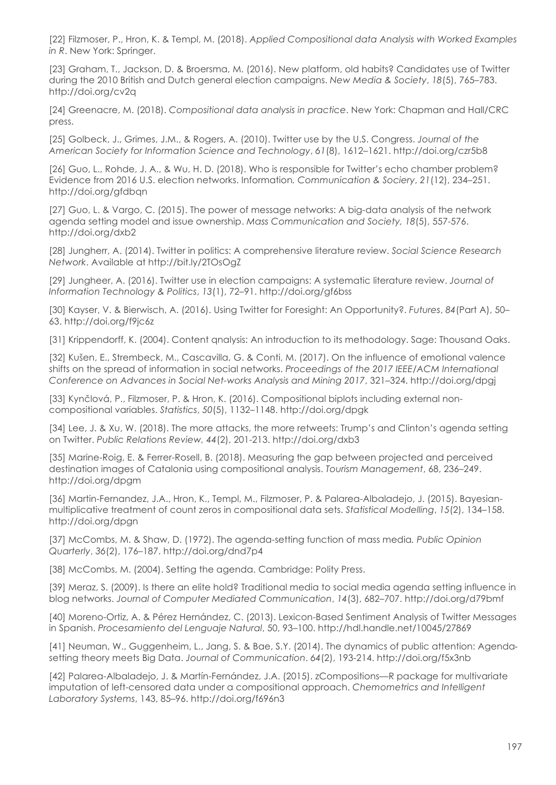[22] Filzmoser, P., Hron, K. & Templ, M. (2018). *Applied Compositional data Analysis with Worked Examples in R. New York: Springer.* 

[23] Graham, T., Jackson, D. & Broersma, M. (2016). New platform, old habits? Candidates use of Twitter during the 2010 British and Dutch general election campaigns. *New Media & Society*, *18*(5), 765–783. http://doi.org/cv2q

[24] Greenacre, M. (2018). *Compositional data analysis in practice*. New York: Chapman and Hall/CRC press.

[25] Golbeck, J., Grimes, J.M., & Rogers, A. (2010). Twitter use by the U.S. Congress. *Journal of the American Society for Information Science and Technology*, *61*(8), 1612–1621. http://doi.org/czr5b8

[26] Guo, L., Rohde, J. A., & Wu, H. D. (2018). Who is responsible for Twitter's echo chamber problem? Evidence from 2016 U.S. election networks. Information*. Communication & Sociery*, *21*(12), 234–251. http://doi.org/gfdbqn

[27] Guo, L. & Vargo, C. (2015). The power of message networks: A big-data analysis of the network agenda setting model and issue ownership. *Mass Communication and Society, 18*(5), 557-576. http://doi.org/dxb2

[28] Jungherr, A. (2014). Twitter in politics: A comprehensive literature review. *Social Science Research Network*. Available at http://bit.ly/2TOsOgZ

[29] Jungheer, A. (2016). Twitter use in election campaigns: A systematic literature review. *Journal of Information Technology & Politics*, *13*(1), 72–91. http://doi.org/gf6bss

[30] Kayser, V. & Bierwisch, A. (2016). Using Twitter for Foresight: An Opportunity?. *Futures*, *84*(Part A), 50– 63. http://doi.org/f9jc6z

[31] Krippendorff, K. (2004). Content qnalysis: An introduction to its methodology. Sage: Thousand Oaks.

[32] Kušen, E., Strembeck, M., Cascavilla, G. & Conti, M. (2017). On the influence of emotional valence shifts on the spread of information in social networks. *Proceedings of the 2017 IEEE/ACM International Conference on Advances in Social Net-works Analysis and Mining 2017*, 321–324. http://doi.org/dpgj

[33] Kynčlová, P., Filzmoser, P. & Hron, K. (2016). Compositional biplots including external noncompositional variables. *Statistics*, *50*(5), 1132–1148. http://doi.org/dpgk

[34] Lee, J. & Xu, W. (2018). The more attacks, the more retweets: Trump's and Clinton's agenda setting on Twitter. *Public Relations Review, 44*(2), 201-213. http://doi.org/dxb3

[35] Marine-Roig, E. & Ferrer-Rosell, B. (2018). Measuring the gap between projected and perceived destination images of Catalonia using compositional analysis. *Tourism Management*, 68, 236–249. http://doi.org/dpgm

[36] Martin-Fernandez, J.A., Hron, K., Templ, M., Filzmoser, P. & Palarea-Albaladejo, J. (2015). Bayesianmultiplicative treatment of count zeros in compositional data sets. *Statistical Modelling*, *15*(2), 134–158. http://doi.org/dpgn

[37] McCombs, M. & Shaw, D. (1972). The agenda-setting function of mass media*. Public Opinion Quarterly*, *36*(2), 176–187. http://doi.org/dnd7p4

[38] McCombs, M. (2004). Setting the agenda. Cambridge: Polity Press.

[39] Meraz, S. (2009). Is there an elite hold? Traditional media to social media agenda setting influence in blog networks. *Journal of Computer Mediated Communication*, *14*(3), 682–707. http://doi.org/d79bmf

[40] Moreno-Ortiz, A. & Pérez Hernández, C. (2013). Lexicon-Based Sentiment Analysis of Twitter Messages in Spanish. *Procesamiento del Lenguaje Natural*, 50, 93–100. http://hdl.handle.net/10045/27869

[41] Neuman, W., Guggenheim, L., Jang, S. & Bae, S.Y. (2014). The dynamics of public attention: Agendasetting theory meets Big Data. *Journal of Communication*. *64*(2), 193-214. http://doi.org/f5x3nb

[42] Palarea-Albaladejo, J. & Martín-Fernández, J.A. (2015). zCompositions—R package for multivariate imputation of left-censored data under a compositional approach. *Chemometrics and Intelligent Laboratory Systems*, 143, 85–96. http://doi.org/f696n3